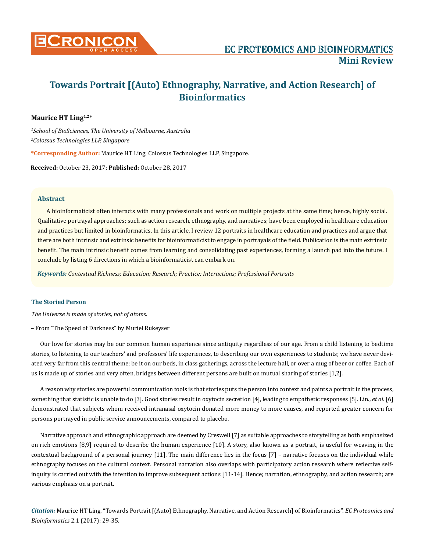

# **Towards Portrait [(Auto) Ethnography, Narrative, and Action Research] of Bioinformatics**

## **Maurice HT Ling1,2\***

*1 School of BioSciences, The University of Melbourne, Australia 2 Colossus Technologies LLP, Singapore*

**\*Corresponding Author:** Maurice HT Ling, Colossus Technologies LLP, Singapore.

**Received:** October 23, 2017; **Published:** October 28, 2017

## **Abstract**

A bioinformaticist often interacts with many professionals and work on multiple projects at the same time; hence, highly social. Qualitative portrayal approaches; such as action research, ethnography, and narratives; have been employed in healthcare education and practices but limited in bioinformatics. In this article, I review 12 portraits in healthcare education and practices and argue that there are both intrinsic and extrinsic benefits for bioinformaticist to engage in portrayals of the field. Publication is the main extrinsic benefit. The main intrinsic benefit comes from learning and consolidating past experiences, forming a launch pad into the future. I conclude by listing 6 directions in which a bioinformaticist can embark on.

*Keywords: Contextual Richness; Education; Research; Practice; Interactions; Professional Portraits*

#### **The Storied Person**

*The Universe is made of stories, not of atoms.* 

– From "The Speed of Darkness" by Muriel Rukeyser

Our love for stories may be our common human experience since antiquity regardless of our age. From a child listening to bedtime stories, to listening to our teachers' and professors' life experiences, to describing our own experiences to students; we have never deviated very far from this central theme; be it on our beds, in class gatherings, across the lecture hall, or over a mug of beer or coffee. Each of us is made up of stories and very often, bridges between different persons are built on mutual sharing of stories [1,2].

A reason why stories are powerful communication tools is that stories puts the person into context and paints a portrait in the process, something that statistic is unable to do [3]. Good stories result in oxytocin secretion [4], leading to empathetic responses [5]. Lin., *et al*. [6] demonstrated that subjects whom received intranasal oxytocin donated more money to more causes, and reported greater concern for persons portrayed in public service announcements, compared to placebo.

Narrative approach and ethnographic approach are deemed by Creswell [7] as suitable approaches to storytelling as both emphasized on rich emotions [8,9] required to describe the human experience [10]. A story, also known as a portrait, is useful for weaving in the contextual background of a personal journey [11]. The main difference lies in the focus [7] – narrative focuses on the individual while ethnography focuses on the cultural context. Personal narration also overlaps with participatory action research where reflective selfinquiry is carried out with the intention to improve subsequent actions [11-14]. Hence; narration, ethnography, and action research; are various emphasis on a portrait.

*Citation:* Maurice HT Ling. "Towards Portrait [(Auto) Ethnography, Narrative, and Action Research] of Bioinformatics". *EC Proteomics and Bioinformatics* 2.1 (2017): 29-35.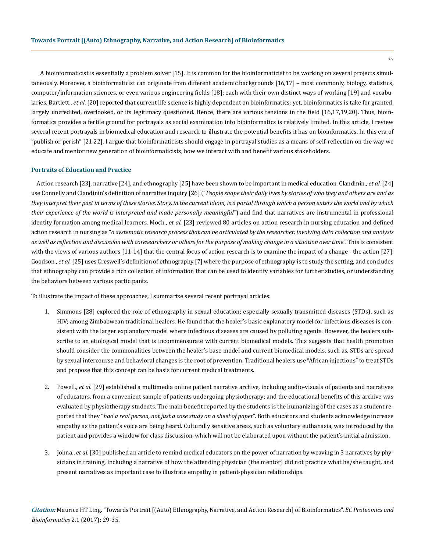A bioinformaticist is essentially a problem solver [15]. It is common for the bioinformaticist to be working on several projects simultaneously. Moreover, a bioinformaticist can originate from different academic backgrounds [16,17] – most commonly, biology, statistics, computer/information sciences, or even various engineering fields [18]; each with their own distinct ways of working [19] and vocabularies. Bartlett., *et al*. [20] reported that current life science is highly dependent on bioinformatics; yet, bioinformatics is take for granted, largely uncredited, overlooked, or its legitimacy questioned. Hence, there are various tensions in the field [16,17,19,20]. Thus, bioinformatics provides a fertile ground for portrayals as social examination into bioinformatics is relatively limited. In this article, I review several recent portrayals in biomedical education and research to illustrate the potential benefits it has on bioinformatics. In this era of "publish or perish" [21,22], I argue that bioinformaticists should engage in portrayal studies as a means of self-reflection on the way we educate and mentor new generation of bioinformaticists, how we interact with and benefit various stakeholders.

#### **Portraits of Education and Practice**

 Action research [23], narrative [24], and ethnography [25] have been shown to be important in medical education. Clandinin., *et al.* [24] use Connelly and Clandinin's definition of narrative inquiry [26] ("*People shape their daily lives by stories of who they and others are and as they interpret their past in terms of these stories. Story, in the current idiom, is a portal through which a person enters the world and by which their experience of the world is interpreted and made personally meaningful*") and find that narratives are instrumental in professional identity formation among medical learners. Moch., *et al.* [23] reviewed 80 articles on action research in nursing education and defined action research in nursing as "*a systematic research process that can be articulated by the researcher, involving data collection and analysis as well as reflection and discussion with coresearchers or others for the purpose of making change in a situation over time*". This is consistent with the views of various authors [11-14] that the central focus of action research is to examine the impact of a change - the action [27]. Goodson., *et al.* [25] uses Creswell's definition of ethnography [7] where the purpose of ethnography is to study the setting, and concludes that ethnography can provide a rich collection of information that can be used to identify variables for further studies, or understanding the behaviors between various participants.

To illustrate the impact of these approaches, I summarize several recent portrayal articles:

- 1. Simmons [28] explored the role of ethnography in sexual education; especially sexually transmitted diseases (STDs), such as HIV; among Zimbabwean traditional healers. He found that the healer's basic explanatory model for infectious diseases is consistent with the larger explanatory model where infectious diseases are caused by polluting agents. However, the healers subscribe to an etiological model that is incommensurate with current biomedical models. This suggests that health promotion should consider the commonalities between the healer's base model and current biomedical models, such as, STDs are spread by sexual intercourse and behavioral changes is the root of prevention. Traditional healers use "African injections" to treat STDs and propose that this concept can be basis for current medical treatments.
- 2. Powell., *et al.* [29] established a multimedia online patient narrative archive, including audio-visuals of patients and narratives of educators, from a convenient sample of patients undergoing physiotherapy; and the educational benefits of this archive was evaluated by physiotherapy students. The main benefit reported by the students is the humanizing of the cases as a student reported that they "*had a real person, not just a case study on a sheet of paper*". Both educators and students acknowledge increase empathy as the patient's voice are being heard. Culturally sensitive areas, such as voluntary euthanasia, was introduced by the patient and provides a window for class discussion, which will not be elaborated upon without the patient's initial admission.
- 3. Johna., *et al.* [30] published an article to remind medical educators on the power of narration by weaving in 3 narratives by physicians in training, including a narrative of how the attending physician (the mentor) did not practice what he/she taught, and present narratives as important case to illustrate empathy in patient-physician relationships.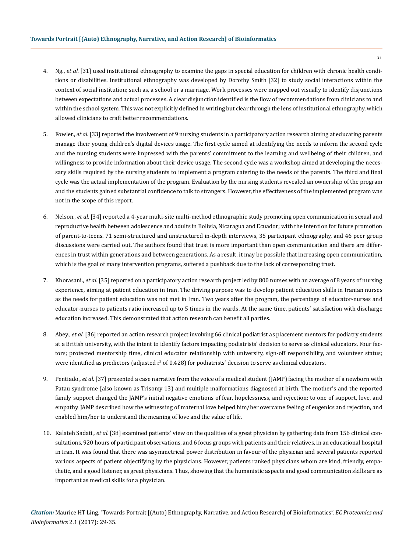- 4. Ng., *et al.* [31] used institutional ethnography to examine the gaps in special education for children with chronic health conditions or disabilities. Institutional ethnography was developed by Dorothy Smith [32] to study social interactions within the context of social institution; such as, a school or a marriage. Work processes were mapped out visually to identify disjunctions between expectations and actual processes. A clear disjunction identified is the flow of recommendations from clinicians to and within the school system. This was not explicitly defined in writing but clear through the lens of institutional ethnography, which allowed clinicians to craft better recommendations.
- 5. Fowler., *et al.* [33] reported the involvement of 9 nursing students in a participatory action research aiming at educating parents manage their young children's digital devices usage. The first cycle aimed at identifying the needs to inform the second cycle and the nursing students were impressed with the parents' commitment to the learning and wellbeing of their children, and willingness to provide information about their device usage. The second cycle was a workshop aimed at developing the necessary skills required by the nursing students to implement a program catering to the needs of the parents. The third and final cycle was the actual implementation of the program. Evaluation by the nursing students revealed an ownership of the program and the students gained substantial confidence to talk to strangers. However, the effectiveness of the implemented program was not in the scope of this report.
- 6. Nelson., *et al.* [34] reported a 4-year multi-site multi-method ethnographic study promoting open communication in sexual and reproductive health between adolescence and adults in Bolivia, Nicaragua and Ecuador; with the intention for future promotion of parent-to-teens. 71 semi-structured and unstructured in-depth interviews, 35 participant ethnography, and 46 peer group discussions were carried out. The authors found that trust is more important than open communication and there are differences in trust within generations and between generations. As a result, it may be possible that increasing open communication, which is the goal of many intervention programs, suffered a pushback due to the lack of corresponding trust.
- 7. Khorasani., *et al.* [35] reported on a participatory action research project led by 800 nurses with an average of 8 years of nursing experience, aiming at patient education in Iran. The driving purpose was to develop patient education skills in Iranian nurses as the needs for patient education was not met in Iran. Two years after the program, the percentage of educator-nurses and educator-nurses to patients ratio increased up to 5 times in the wards. At the same time, patients' satisfaction with discharge education increased. This demonstrated that action research can benefit all parties.
- 8. Abey., *et al.* [36] reported an action research project involving 66 clinical podiatrist as placement mentors for podiatry students at a British university, with the intent to identify factors impacting podiatrists' decision to serve as clinical educators. Four factors; protected mentorship time, clinical educator relationship with university, sign-off responsibility, and volunteer status; were identified as predictors (adjusted  $r^2$  of 0.428) for podiatrists' decision to serve as clinical educators.
- 9. Pentiado., *et al.* [37] presented a case narrative from the voice of a medical student (JAMP) facing the mother of a newborn with Patau syndrome (also known as Trisomy 13) and multiple malformations diagnosed at birth. The mother's and the reported family support changed the JAMP's initial negative emotions of fear, hopelessness, and rejection; to one of support, love, and empathy. JAMP described how the witnessing of maternal love helped him/her overcame feeling of eugenics and rejection, and enabled him/her to understand the meaning of love and the value of life.
- 10. Kalateh Sadati., *et al.* [38] examined patients' view on the qualities of a great physician by gathering data from 156 clinical consultations, 920 hours of participant observations, and 6 focus groups with patients and their relatives, in an educational hospital in Iran. It was found that there was asymmetrical power distribution in favour of the physician and several patients reported various aspects of patient objectifying by the physicians. However, patients ranked physicians whom are kind, friendly, empathetic, and a good listener, as great physicians. Thus, showing that the humanistic aspects and good communication skills are as important as medical skills for a physician.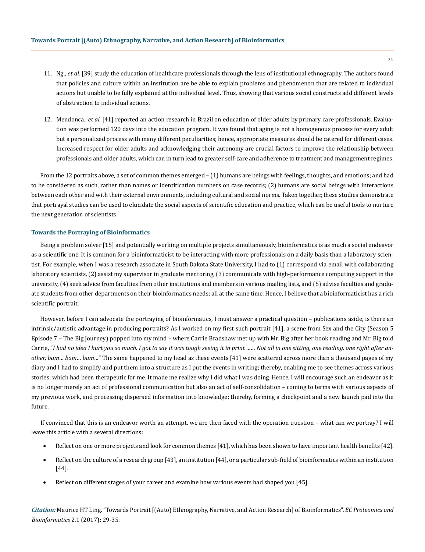- 11. Ng., *et al.* [39] study the education of healthcare professionals through the lens of institutional ethnography. The authors found that policies and culture within an institution are be able to explain problems and phenomenon that are related to individual actions but unable to be fully explained at the individual level. Thus, showing that various social constructs add different levels of abstraction to individual actions.
- 12. Mendonca., *et al.* [41] reported an action research in Brazil on education of older adults by primary care professionals. Evaluation was performed 120 days into the education program. It was found that aging is not a homogenous process for every adult but a personalized process with many different peculiarities; hence, appropriate measures should be catered for different cases. Increased respect for older adults and acknowledging their autonomy are crucial factors to improve the relationship between professionals and older adults, which can in turn lead to greater self-care and adherence to treatment and management regimes.

From the 12 portraits above, a set of common themes emerged – (1) humans are beings with feelings, thoughts, and emotions; and had to be considered as such, rather than names or identification numbers on case records; (2) humans are social beings with interactions between each other and with their external environments, including cultural and social norms. Taken together, these studies demonstrate that portrayal studies can be used to elucidate the social aspects of scientific education and practice, which can be useful tools to nurture the next generation of scientists.

#### **Towards the Portraying of Bioinformatics**

Being a problem solver [15] and potentially working on multiple projects simultaneously, bioinformatics is as much a social endeavor as a scientific one. It is common for a bioinformaticist to be interacting with more professionals on a daily basis than a laboratory scientist. For example, when I was a research associate in South Dakota State University, I had to (1) correspond via email with collaborating laboratory scientists, (2) assist my supervisor in graduate mentoring, (3) communicate with high-performance computing support in the university, (4) seek advice from faculties from other institutions and members in various mailing lists, and (5) advise faculties and graduate students from other departments on their bioinformatics needs; all at the same time. Hence, I believe that a bioinformaticist has a rich scientific portrait.

However, before I can advocate the portraying of bioinformatics, I must answer a practical question – publications aside, is there an intrinsic/autistic advantage in producing portraits? As I worked on my first such portrait [41], a scene from Sex and the City (Season 5 Episode 7 – The Big Journey) popped into my mind – where Carrie Bradshaw met up with Mr. Big after her book reading and Mr. Big told Carrie, "*I had no idea I hurt you so much. I got to say it was tough seeing it in print …… Not all in one sitting, one reading, one right after another, bam… bam… bam…*" The same happened to my head as these events [41] were scattered across more than a thousand pages of my diary and I had to simplify and put them into a structure as I put the events in writing; thereby, enabling me to see themes across various stories; which had been therapeutic for me. It made me realize why I did what I was doing. Hence, I will encourage such an endeavor as it is no longer merely an act of professional communication but also an act of self-consolidation – coming to terms with various aspects of my previous work, and processing dispersed information into knowledge; thereby, forming a checkpoint and a new launch pad into the future.

If convinced that this is an endeavor worth an attempt, we are then faced with the operation question – what can we portray? I will leave this article with a several directions:

- Reflect on one or more projects and look for common themes [41], which has been shown to have important health benefits [42].
- Reflect on the culture of a research group [43], an institution [44], or a particular sub-field of bioinformatics within an institution [44].
- Reflect on different stages of your career and examine how various events had shaped you [45].

*Citation:* Maurice HT Ling. "Towards Portrait [(Auto) Ethnography, Narrative, and Action Research] of Bioinformatics". *EC Proteomics and Bioinformatics* 2.1 (2017): 29-35.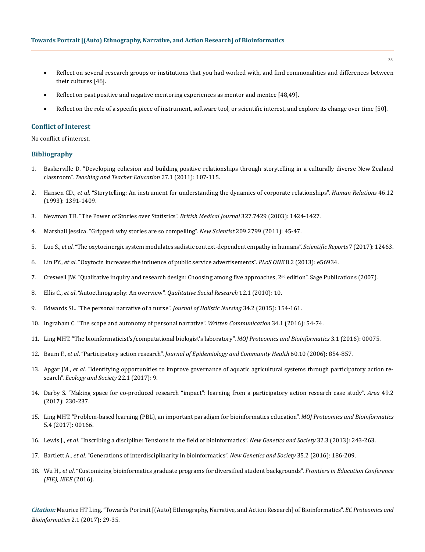- Reflect on several research groups or institutions that you had worked with, and find commonalities and differences between their cultures [46].
- Reflect on past positive and negative mentoring experiences as mentor and mentee [48,49].
- Reflect on the role of a specific piece of instrument, software tool, or scientific interest, and explore its change over time [50].

#### **Conflict of Interest**

No conflict of interest.

## **Bibliography**

- 1. [Baskerville D. "Developing cohesion and building positive relationships through storytelling in a culturally diverse New Zealand](http://www.sciencedirect.com/science/article/pii/S0742051X10001204)  classroom". *[Teaching and Teacher Education](http://www.sciencedirect.com/science/article/pii/S0742051X10001204)* 27.1 (2011): 107-115.
- 2. Hansen CD., *et al*[. "Storytelling: An instrument for understanding the dynamics of corporate relationships".](http://journals.sagepub.com/doi/abs/10.1177/001872679304601202) *Human Relations* 46.12 [\(1993\): 1391-1409.](http://journals.sagepub.com/doi/abs/10.1177/001872679304601202)
- 3. [Newman TB. "The Power of Stories over Statistics".](http://www.bmj.com/content/327/7429/1424) *British Medical Journal* 327.7429 (2003): 1424-1427.
- 4. [Marshall Jessica. "Gripped: why stories are so compelling".](http://www.sciencedirect.com/science/article/pii/S0262407911603400) *New Scientist* 209.2799 (2011): 45-47.
- 5. Luo S., *et al*[. "The oxytocinergic system modulates sadistic context-dependent empathy in humans".](https://www.nature.com/articles/s41598-017-12671-2) *Scientific Reports* 7 (2017): 12463.
- 6. Lin PY., *et al*[. "Oxytocin increases the influence of public service advertisements".](https://www.ncbi.nlm.nih.gov/pubmed/23460821) *PLoS ONE* 8.2 (2013): e56934.
- 7. Creswell JW. "Qualitative inquiry and research design: Choosing among five approaches,  $2^{nd}$  edition". Sage Publications (2007).
- 8. Ellis C., *et al*[. "Autoethnography: An overview".](https://www.researchgate.net/publication/48666999_Autoethnography_An_Overview) *Qualitative Social Research* 12.1 (2010): 10.
- 9. [Edwards SL. "The personal narrative of a nurse".](https://www.ncbi.nlm.nih.gov/pubmed/26025093) *Journal of Holistic Nursing* 34.2 (2015): 154-161.
- 10. [Ingraham C. "The scope and autonomy of personal narrative".](http://journals.sagepub.com/doi/abs/10.1177/0741088316683147) *Written Communication* 34.1 (2016): 54-74.
- 11. [Ling MHT. "The bioinformaticist's/computational biologist's laboratory".](http://medcraveonline.com/MOJPB/MOJPB-03-00075.php) *MOJ Proteomics and Bioinformatics* 3.1 (2016): 00075.
- 12. Baum F., *et al*. "Participatory action research". *[Journal of Epidemiology and Community Health](https://www.ncbi.nlm.nih.gov/pmc/articles/PMC2566051/)* 60.10 (2006): 854-857.
- 13. Apgar JM., *et al*[. "Identifying opportunities to improve governance of aquatic agricultural systems through participatory action re](https://www.ecologyandsociety.org/vol22/iss1/art9/)search". *[Ecology and Society](https://www.ecologyandsociety.org/vol22/iss1/art9/)* 22.1 (2017): 9.
- 14. [Darby S. "Making space for co-produced research "impact": learning from a participatory action research case study".](http://onlinelibrary.wiley.com/doi/10.1111/area.12321/abstract) *Area* 49.2 [\(2017\): 230-237.](http://onlinelibrary.wiley.com/doi/10.1111/area.12321/abstract)
- 15. [Ling MHT. "Problem-based learning \(PBL\), an important paradigm for bioinformatics education".](http://medcraveonline.com/MOJPB/MOJPB-05-00166.php) *MOJ Proteomics and Bioinformatics* [5.4 \(2017\): 00166.](http://medcraveonline.com/MOJPB/MOJPB-05-00166.php)
- 16. Lewis J., *et al*[. "Inscribing a discipline: Tensions in the field of bioinformatics".](http://www.tandfonline.com/doi/abs/10.1080/14636778.2013.773172) *New Genetics and Society* 32.3 (2013): 243-263.
- 17. Bartlett A., *et al*[. "Generations of interdisciplinarity in bioinformatics".](https://www.ncbi.nlm.nih.gov/pubmed/27453689) *New Genetics and Society* 35.2 (2016): 186-209.
- 18. Wu H., *et al*[. "Customizing bioinformatics graduate programs for diversified student backgrounds".](http://ieeexplore.ieee.org/document/7757506/?reload=true) *Frontiers in Education Conference [\(FIE\), IEEE](http://ieeexplore.ieee.org/document/7757506/?reload=true)* (2016).

*Citation:* Maurice HT Ling. "Towards Portrait [(Auto) Ethnography, Narrative, and Action Research] of Bioinformatics". *EC Proteomics and Bioinformatics* 2.1 (2017): 29-35.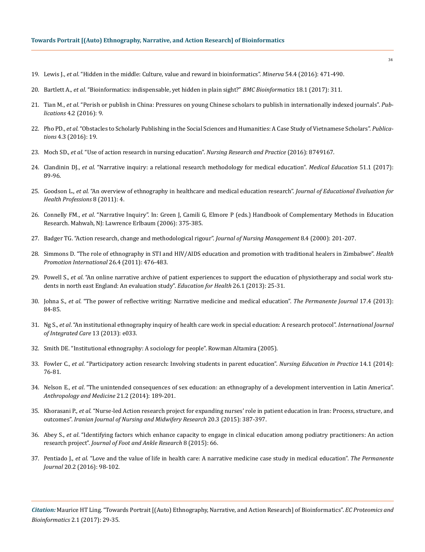- 19. Lewis J., *et al*[. "Hidden in the middle: Culture, value and reward in bioinformatics".](https://www.ncbi.nlm.nih.gov/pubmed/27942075) *Minerva* 54.4 (2016): 471-490.
- 20. Bartlett A., *et al*[. "Bioinformatics: indispensable, yet hidden in plain sight?"](https://www.ncbi.nlm.nih.gov/pubmed/28637426) *BMC Bioinformatics* 18.1 (2017): 311.
- 21. Tian M., *et al*[. "Perish or publish in China: Pressures on young Chinese scholars to publish in internationally indexed journals".](http://www.mdpi.com/2304-6775/4/2/9) *Publications* [4.2 \(2016\): 9.](http://www.mdpi.com/2304-6775/4/2/9)
- 22. Pho PD., *et al*[. "Obstacles to Scholarly Publishing in the Social Sciences and Humanities: A Case Study of Vietnamese Scholars".](http://www.mdpi.com/2304-6775/4/3/19) *Publications* [4.3 \(2016\): 19.](http://www.mdpi.com/2304-6775/4/3/19)
- 23. Moch SD., *et al*[. "Use of action research in nursing education".](https://www.ncbi.nlm.nih.gov/pubmed/28078138) *Nursing Research and Practice* (2016): 8749167.
- 24. Clandinin DJ., *et al*[. "Narrative inquiry: a relational research methodology for medical education".](http://onlinelibrary.wiley.com/doi/10.1111/medu.13136/full) *Medical Education* 51.1 (2017): [89-96.](http://onlinelibrary.wiley.com/doi/10.1111/medu.13136/full)
- 25. Goodson L., *et al*[. "An overview of ethnography in healthcare and medical education research".](https://www.ncbi.nlm.nih.gov/pubmed/21637319) *Journal of Educational Evaluation for [Health Professions](https://www.ncbi.nlm.nih.gov/pubmed/21637319)* 8 (2011): 4.
- 26. Connelly FM., *et al*. "Narrative Inquiry". In: Green J, Camili G, Elmore P (eds.) Handbook of Complementary Methods in Education Research. Mahwah, NJ: Lawrence Erlbaum (2006): 375-385.
- 27. [Badger TG. "Action research, change and methodological rigour".](https://www.ncbi.nlm.nih.gov/pubmed/11309911) *Journal of Nursing Management* 8.4 (2000): 201-207.
- 28. [Simmons D. "The role of ethnography in STI and HIV/AIDS education and promotion with traditional healers in Zimbabwe".](https://www.ncbi.nlm.nih.gov/pubmed/21343161) *Health [Promotion International](https://www.ncbi.nlm.nih.gov/pubmed/21343161)* 26.4 (2011): 476-483.
- 29. Powell S., *et al*[. "An online narrative archive of patient experiences to support the education of physiotherapy and social work stu](https://www.ncbi.nlm.nih.gov/pubmed/23823670)[dents in north east England: An evaluation study".](https://www.ncbi.nlm.nih.gov/pubmed/23823670) *Education for Health* 26.1 (2013): 25-31.
- 30. Johna S., *et al*[. "The power of reflective writing: Narrative medicine and medical education".](https://www.ncbi.nlm.nih.gov/pmc/articles/PMC3854815/) *The Permanente Journal* 17.4 (2013): [84-85.](https://www.ncbi.nlm.nih.gov/pmc/articles/PMC3854815/)
- 31. Ng S., *et al*[. "An institutional ethnography inquiry of health care work in special education: A research protocol".](https://www.ncbi.nlm.nih.gov/pubmed/24179456) *International Journal [of Integrated Care](https://www.ncbi.nlm.nih.gov/pubmed/24179456)* 13 (2013): e033.
- 32. Smith DE. "Institutional ethnography: A sociology for people". Rowman Altamira (2005).
- 33. Fowler C., *et al*[. "Participatory action research: Involving students in parent education".](https://www.ncbi.nlm.nih.gov/pubmed/23849187) *Nursing Education in Practice* 14.1 (2014): [76-81.](https://www.ncbi.nlm.nih.gov/pubmed/23849187)
- 34. Nelson E., *et al*[. "The unintended consequences of sex education: an ethnography of a development intervention in Latin America".](https://www.ncbi.nlm.nih.gov/pubmed/25175294)  *[Anthropology and Medicine](https://www.ncbi.nlm.nih.gov/pubmed/25175294)* 21.2 (2014): 189-201.
- 35. Khorasani P., *et al*[. "Nurse-led Action research project for expanding nurses' role in patient education in Iran: Process, structure, and](https://www.ncbi.nlm.nih.gov/pmc/articles/PMC4462066/)  outcomes". *[Iranian Journal of Nursing and Midwifery Research](https://www.ncbi.nlm.nih.gov/pmc/articles/PMC4462066/)* 20.3 (2015): 387-397.
- 36. Abey S., *et al*[. "Identifying factors which enhance capacity to engage in clinical education among podiatry practitioners: An action](https://jfootankleres.biomedcentral.com/articles/10.1186/s13047-015-0123-4)  research project". *[Journal of Foot and Ankle Research](https://jfootankleres.biomedcentral.com/articles/10.1186/s13047-015-0123-4)* 8 (2015): 66.
- 37. Pentiado J., *et al*[. "Love and the value of life in health care: A narrative medicine case study in medical education".](https://www.ncbi.nlm.nih.gov/pubmed/26901271) *The Permanente Journal* [20.2 \(2016\): 98-102.](https://www.ncbi.nlm.nih.gov/pubmed/26901271)

*Citation:* Maurice HT Ling. "Towards Portrait [(Auto) Ethnography, Narrative, and Action Research] of Bioinformatics". *EC Proteomics and Bioinformatics* 2.1 (2017): 29-35.